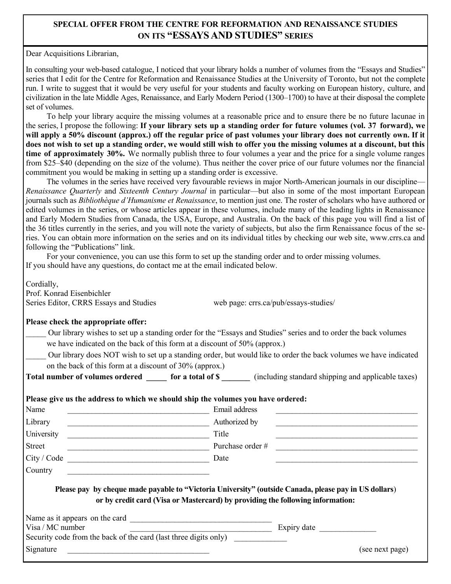## **SPECIAL OFFER FROM THE CENTRE FOR REFORMATION AND RENAISSANCE STUDIES ON ITS "ESSAYS AND STUDIES" SERIES**

Dear Acquisitions Librarian,

In consulting your web-based catalogue, I noticed that your library holds a number of volumes from the "Essays and Studies" series that I edit for the Centre for Reformation and Renaissance Studies at the University of Toronto, but not the complete run. I write to suggest that it would be very useful for your students and faculty working on European history, culture, and civilization in the late Middle Ages, Renaissance, and Early Modern Period (1300–1700) to have at their disposal the complete set of volumes.

To help your library acquire the missing volumes at a reasonable price and to ensure there be no future lacunae in the series, I propose the following: **If your library sets up a standing order for future volumes (vol. 37 forward), we**  will apply a 50% discount (approx.) off the regular price of past volumes your library does not currently own. If it **does not wish to set up a standing order, we would still wish to offer you the missing volumes at a discount, but this time of approximately 30%.** We normally publish three to four volumes a year and the price for a single volume ranges from \$25–\$40 (depending on the size of the volume). Thus neither the cover price of our future volumes nor the financial commitment you would be making in setting up a standing order is excessive.

The volumes in the series have received very favourable reviews in major North-American journals in our discipline— *Renaissance Quarterly* and *Sixteenth Century Journal* in particular—but also in some of the most important European journals such as *Bibliothèque d'Humanisme et Renaissance*, to mention just one. The roster of scholars who have authored or edited volumes in the series, or whose articles appear in these volumes, include many of the leading lights in Renaissance and Early Modern Studies from Canada, the USA, Europe, and Australia. On the back of this page you will find a list of the 36 titles currently in the series, and you will note the variety of subjects, but also the firm Renaissance focus of the series. You can obtain more information on the series and on its individual titles by checking our web site, www.crrs.ca and following the "Publications" link.

For your convenience, you can use this form to set up the standing order and to order missing volumes. If you should have any questions, do contact me at the email indicated below.

Cordially,

Prof. Konrad Eisenbichler Series Editor, CRRS Essays and Studies web page: crrs.ca/pub/essays-studies/

## **Please check the appropriate offer:**

- Our library wishes to set up a standing order for the "Essays and Studies" series and to order the back volumes we have indicated on the back of this form at a discount of 50% (approx.)
- \_\_\_\_\_ Our library does NOT wish to set up a standing order, but would like to order the back volumes we have indicated on the back of this form at a discount of 30% (approx.)

**Total number of volumes ordered for a total of \$** (including standard shipping and applicable taxes)

## **Please give us the address to which we should ship the volumes you have ordered:**

| Name                                                                                               | Email address                                                                                                                                                                           |  |
|----------------------------------------------------------------------------------------------------|-----------------------------------------------------------------------------------------------------------------------------------------------------------------------------------------|--|
| Library                                                                                            | Authorized by                                                                                                                                                                           |  |
| University                                                                                         | Title                                                                                                                                                                                   |  |
| Street                                                                                             | Purchase order #                                                                                                                                                                        |  |
| City / Code                                                                                        | Date                                                                                                                                                                                    |  |
| Country                                                                                            |                                                                                                                                                                                         |  |
|                                                                                                    |                                                                                                                                                                                         |  |
|                                                                                                    | Please pay by cheque made payable to "Victoria University" (outside Canada, please pay in US dollars)<br>or by credit card (Visa or Mastercard) by providing the following information: |  |
|                                                                                                    |                                                                                                                                                                                         |  |
| Visa / MC number                                                                                   | Expiry date                                                                                                                                                                             |  |
| Name as it appears on the card<br>Security code from the back of the card (last three digits only) |                                                                                                                                                                                         |  |